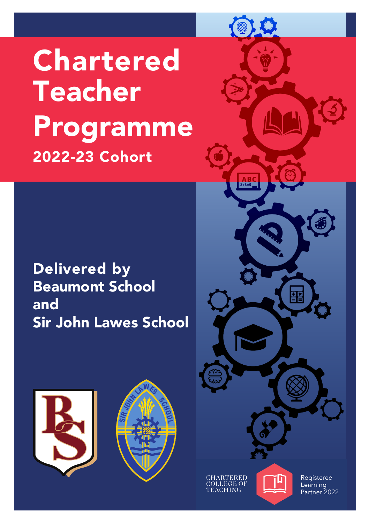**Chartered** Teacher Programme 2022-23 Cohort

Delivered by Beaumont School and Sir John Lawes School





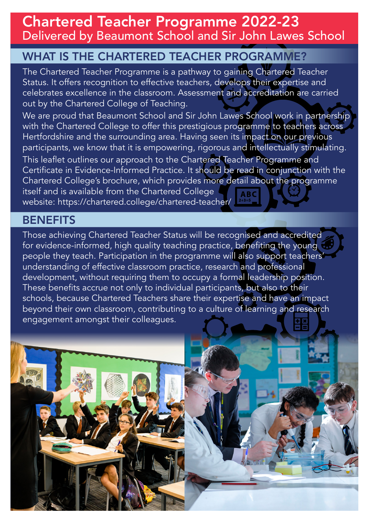Chartered Teacher Programme 2022-23 Delivered by Beaumont School and Sir John Lawes School

### WHAT IS THE CHARTERED TEACHER PROGRAMME?

The Chartered Teacher Programme is a pathway to gaining Chartered Teacher Status. It offers recognition to effective teachers, develops their expertise and celebrates excellence in the classroom. Assessment and accreditation are carried out by the Chartered College of Teaching.

We are proud that Beaumont School and Sir John Lawes School work in partnership with the Chartered College to offer this prestigious programme to teachers across Hertfordshire and the surrounding area. Having seen its impact on our previous participants, we know that it is empowering, rigorous and intellectually stimulating.

This leaflet outlines our approach to the Chartered Teacher Programme and Certificate in Evidence-Informed Practice. It should be read in conjunction with the Chartered College's brochure, which provides more detail about the programme itself and is available from the Chartered College website: https://chartered.college/chartered-teacher/

#### **BENEFITS**

Those achieving Chartered Teacher Status will be recognised and accredited for evidence-informed, high quality teaching practice, benefiting the young people they teach. Participation in the programme will also support teachers' understanding of effective classroom practice, research and professional development, without requiring them to occupy a formal leadership position. These benefits accrue not only to individual participants, but also to their schools, because Chartered Teachers share their expertise and have an impact beyond their own classroom, contributing to a culture of learning and research engagement amongst their colleagues.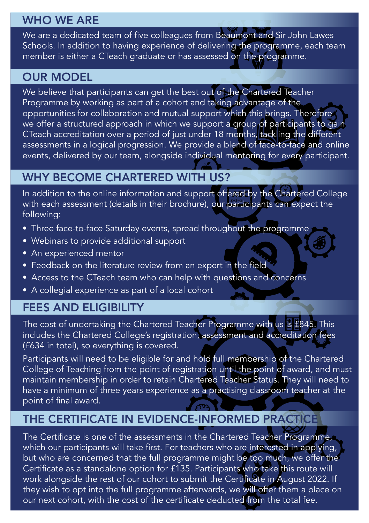## WHO WE ARE

We are a dedicated team of five colleagues from Beaumont and Sir John Lawes Schools. In addition to having experience of delivering the programme, each team member is either a CTeach graduate or has assessed on the programme.

### OUR MODEL

We believe that participants can get the best out of the Chartered Teacher Programme by working as part of a cohort and taking advantage of the opportunities for collaboration and mutual support which this brings. Therefore we offer a structured approach in which we support a group of participants to gain CTeach accreditation over a period of just under 18 months, tackling the different assessments in a logical progression. We provide a blend of face-to-face and online events, delivered by our team, alongside individual mentoring for every participant.

# WHY BECOME CHARTERED WITH US?

In addition to the online information and support offered by the Chartered College with each assessment (details in their brochure), our participants can expect the following:

- Three face-to-face Saturday events, spread throughout the programme
- Webinars to provide additional support
- An experienced mentor
- Feedback on the literature review from an expert in the field
- Access to the CTeach team who can help with questions and concerns
- A collegial experience as part of a local cohort

## FEES AND ELIGIBILITY

The cost of undertaking the Chartered Teacher Programme with us is £845. This includes the Chartered College's registration, assessment and accreditation fees (£634 in total), so everything is covered.

Participants will need to be eligible for and hold full membership of the Chartered College of Teaching from the point of registration until the point of award, and must maintain membership in order to retain Chartered Teacher Status. They will need to have a minimum of three years experience as a practising classroom teacher at the point of final award.

# THE CERTIFICATE IN EVIDENCE-INFORMED PRACTICE

The Certificate is one of the assessments in the Chartered Teacher Programme, which our participants will take first. For teachers who are interested in applying, but who are concerned that the full programme might be too much, we offer the Certificate as a standalone option for £135. Participants who take this route will work alongside the rest of our cohort to submit the Certificate in August 2022. If they wish to opt into the full programme afterwards, we will offer them a place on our next cohort, with the cost of the certificate deducted from the total fee.